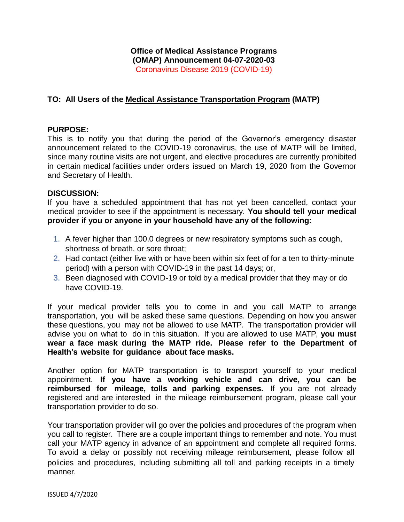## **Office of Medical Assistance Programs (OMAP) Announcement 04-07-2020-03** Coronavirus Disease 2019 (COVID-19)

## **TO: All Users of the Medical Assistance Transportation Program (MATP)**

## **PURPOSE:**

This is to notify you that during the period of the Governor's emergency disaster announcement related to the COVID-19 coronavirus, the use of MATP will be limited, since many routine visits are not urgent, and elective procedures are currently prohibited in certain medical [facilities](https://www.governor.pa.gov/wp-content/uploads/2020/03/20200319-Life-Sustaining-Business.pdf) under orders issued on March 19, 2020 from the Governor and Secretary of Health.

## **DISCUSSION:**

If you have a scheduled appointment that has not yet been cancelled, contact your medical provider to see if the appointment is necessary. **You should tell your medical provider if you or anyone in your household have any of the following:**

- 1. A fever higher than 100.0 degrees or new respiratory symptoms such as cough, shortness of breath, or sore throat;
- 2. Had contact (either live with or have been within six feet of for a ten to thirty-minute period) with a person with COVID-19 in the past 14 days; or,
- 3. Been diagnosed with COVID-19 or told by a medical provider that they may or do have COVID-19.

If your medical provider tells you to come in and you call MATP to arrange transportation, you will be asked these same questions. Depending on how you answer these questions, you may not be allowed to use MATP. The transportation provider will advise you on what to do in this situation. If you are allowed to use MATP, **you must wear a face mask during the MATP ride. Please refer to the Department of Health's website for guidance about face masks.**

Another option for MATP transportation is to transport yourself to your medical appointment. **If you have a working vehicle and can drive, you can be reimbursed for mileage, tolls and parking expenses.** If you are not already registered and are interested in the mileage reimbursement program, please call your transportation provider to do so.

Your transportation provider will go over the policies and procedures of the program when you call to register. There are a couple important things to remember and note. You must call your MATP agency in advance of an appointment and complete all required forms. To avoid a delay or possibly not receiving mileage reimbursement, please follow all policies and procedures, including submitting all toll and parking receipts in a timely manner.